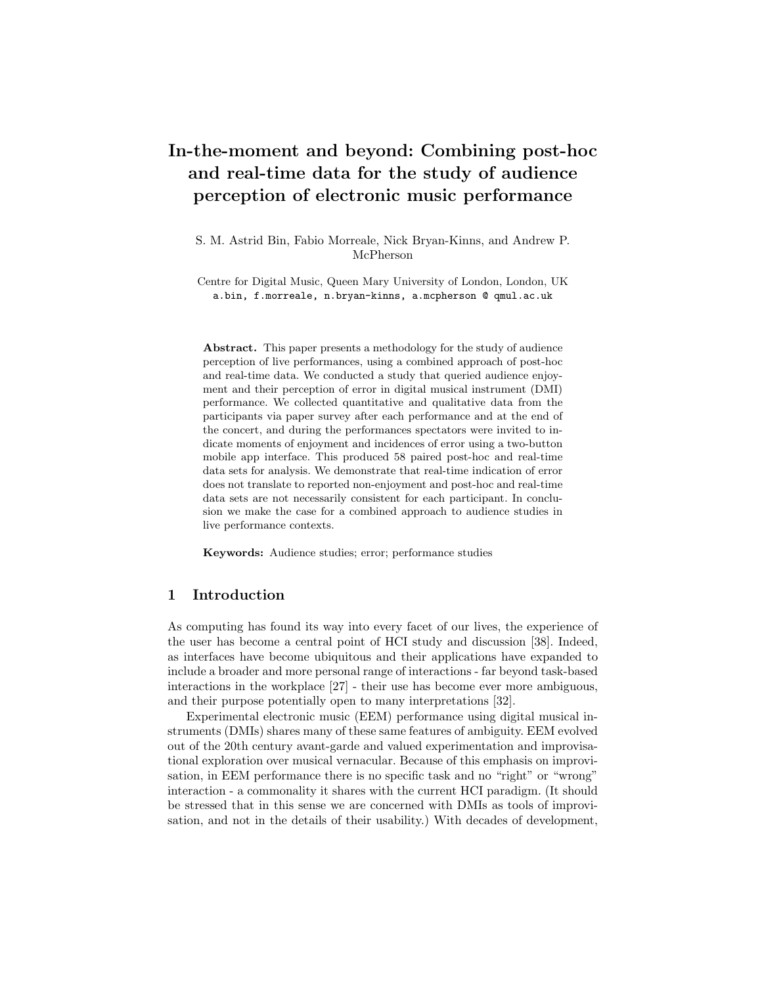# In-the-moment and beyond: Combining post-hoc and real-time data for the study of audience perception of electronic music performance

S. M. Astrid Bin, Fabio Morreale, Nick Bryan-Kinns, and Andrew P. McPherson

Centre for Digital Music, Queen Mary University of London, London, UK a.bin, f.morreale, n.bryan-kinns, a.mcpherson @ qmul.ac.uk

Abstract. This paper presents a methodology for the study of audience perception of live performances, using a combined approach of post-hoc and real-time data. We conducted a study that queried audience enjoyment and their perception of error in digital musical instrument (DMI) performance. We collected quantitative and qualitative data from the participants via paper survey after each performance and at the end of the concert, and during the performances spectators were invited to indicate moments of enjoyment and incidences of error using a two-button mobile app interface. This produced 58 paired post-hoc and real-time data sets for analysis. We demonstrate that real-time indication of error does not translate to reported non-enjoyment and post-hoc and real-time data sets are not necessarily consistent for each participant. In conclusion we make the case for a combined approach to audience studies in live performance contexts.

Keywords: Audience studies; error; performance studies

# 1 Introduction

As computing has found its way into every facet of our lives, the experience of the user has become a central point of HCI study and discussion [38]. Indeed, as interfaces have become ubiquitous and their applications have expanded to include a broader and more personal range of interactions - far beyond task-based interactions in the workplace [27] - their use has become ever more ambiguous, and their purpose potentially open to many interpretations [32].

Experimental electronic music (EEM) performance using digital musical instruments (DMIs) shares many of these same features of ambiguity. EEM evolved out of the 20th century avant-garde and valued experimentation and improvisational exploration over musical vernacular. Because of this emphasis on improvisation, in EEM performance there is no specific task and no "right" or "wrong" interaction - a commonality it shares with the current HCI paradigm. (It should be stressed that in this sense we are concerned with DMIs as tools of improvisation, and not in the details of their usability.) With decades of development,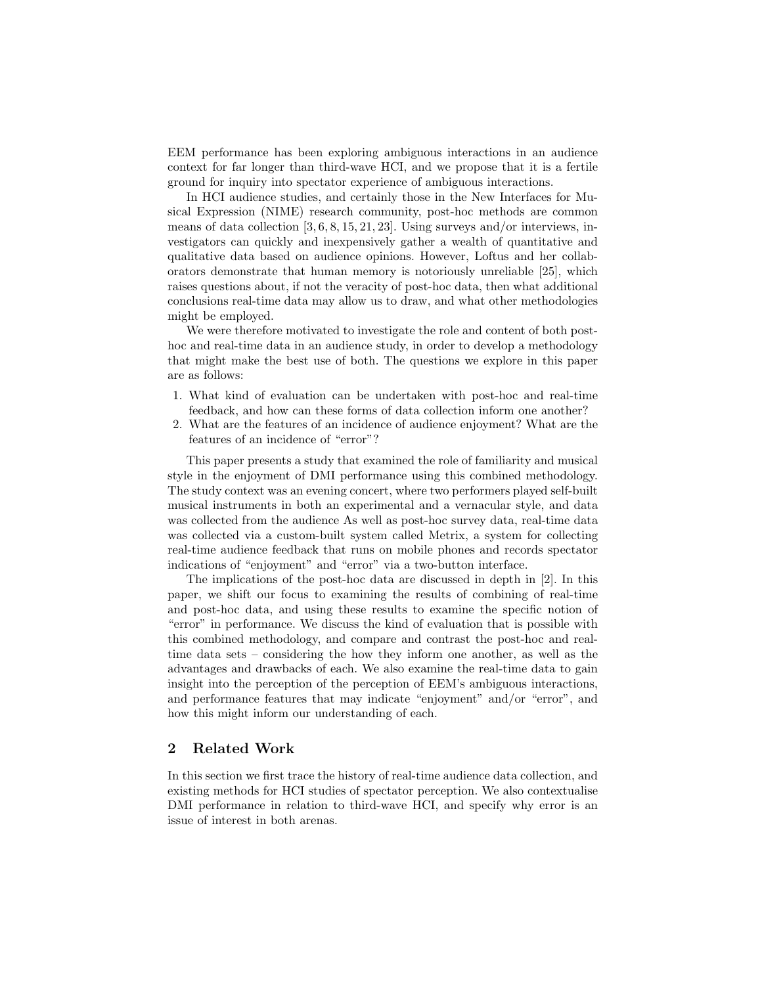EEM performance has been exploring ambiguous interactions in an audience context for far longer than third-wave HCI, and we propose that it is a fertile ground for inquiry into spectator experience of ambiguous interactions.

In HCI audience studies, and certainly those in the New Interfaces for Musical Expression (NIME) research community, post-hoc methods are common means of data collection [3, 6, 8, 15, 21, 23]. Using surveys and/or interviews, investigators can quickly and inexpensively gather a wealth of quantitative and qualitative data based on audience opinions. However, Loftus and her collaborators demonstrate that human memory is notoriously unreliable [25], which raises questions about, if not the veracity of post-hoc data, then what additional conclusions real-time data may allow us to draw, and what other methodologies might be employed.

We were therefore motivated to investigate the role and content of both posthoc and real-time data in an audience study, in order to develop a methodology that might make the best use of both. The questions we explore in this paper are as follows:

- 1. What kind of evaluation can be undertaken with post-hoc and real-time feedback, and how can these forms of data collection inform one another?
- 2. What are the features of an incidence of audience enjoyment? What are the features of an incidence of "error"?

This paper presents a study that examined the role of familiarity and musical style in the enjoyment of DMI performance using this combined methodology. The study context was an evening concert, where two performers played self-built musical instruments in both an experimental and a vernacular style, and data was collected from the audience As well as post-hoc survey data, real-time data was collected via a custom-built system called Metrix, a system for collecting real-time audience feedback that runs on mobile phones and records spectator indications of "enjoyment" and "error" via a two-button interface.

The implications of the post-hoc data are discussed in depth in [2]. In this paper, we shift our focus to examining the results of combining of real-time and post-hoc data, and using these results to examine the specific notion of "error" in performance. We discuss the kind of evaluation that is possible with this combined methodology, and compare and contrast the post-hoc and realtime data sets – considering the how they inform one another, as well as the advantages and drawbacks of each. We also examine the real-time data to gain insight into the perception of the perception of EEM's ambiguous interactions, and performance features that may indicate "enjoyment" and/or "error", and how this might inform our understanding of each.

# 2 Related Work

In this section we first trace the history of real-time audience data collection, and existing methods for HCI studies of spectator perception. We also contextualise DMI performance in relation to third-wave HCI, and specify why error is an issue of interest in both arenas.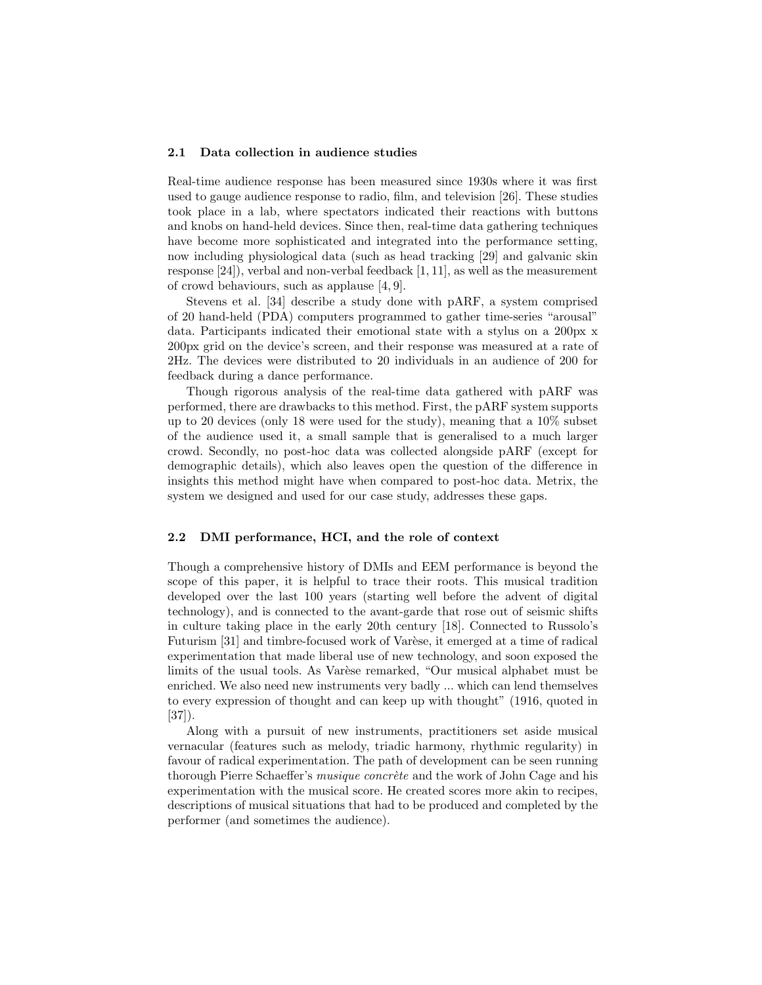#### 2.1 Data collection in audience studies

Real-time audience response has been measured since 1930s where it was first used to gauge audience response to radio, film, and television [26]. These studies took place in a lab, where spectators indicated their reactions with buttons and knobs on hand-held devices. Since then, real-time data gathering techniques have become more sophisticated and integrated into the performance setting, now including physiological data (such as head tracking [29] and galvanic skin response [24]), verbal and non-verbal feedback [1, 11], as well as the measurement of crowd behaviours, such as applause [4, 9].

Stevens et al. [34] describe a study done with pARF, a system comprised of 20 hand-held (PDA) computers programmed to gather time-series "arousal" data. Participants indicated their emotional state with a stylus on a 200px x 200px grid on the device's screen, and their response was measured at a rate of 2Hz. The devices were distributed to 20 individuals in an audience of 200 for feedback during a dance performance.

Though rigorous analysis of the real-time data gathered with pARF was performed, there are drawbacks to this method. First, the pARF system supports up to 20 devices (only 18 were used for the study), meaning that a 10% subset of the audience used it, a small sample that is generalised to a much larger crowd. Secondly, no post-hoc data was collected alongside pARF (except for demographic details), which also leaves open the question of the difference in insights this method might have when compared to post-hoc data. Metrix, the system we designed and used for our case study, addresses these gaps.

#### 2.2 DMI performance, HCI, and the role of context

Though a comprehensive history of DMIs and EEM performance is beyond the scope of this paper, it is helpful to trace their roots. This musical tradition developed over the last 100 years (starting well before the advent of digital technology), and is connected to the avant-garde that rose out of seismic shifts in culture taking place in the early 20th century [18]. Connected to Russolo's Futurism [31] and timbre-focused work of Varèse, it emerged at a time of radical experimentation that made liberal use of new technology, and soon exposed the limits of the usual tools. As Varèse remarked, "Our musical alphabet must be enriched. We also need new instruments very badly ... which can lend themselves to every expression of thought and can keep up with thought" (1916, quoted in [37]).

Along with a pursuit of new instruments, practitioners set aside musical vernacular (features such as melody, triadic harmony, rhythmic regularity) in favour of radical experimentation. The path of development can be seen running thorough Pierre Schaeffer's *musique concrète* and the work of John Cage and his experimentation with the musical score. He created scores more akin to recipes, descriptions of musical situations that had to be produced and completed by the performer (and sometimes the audience).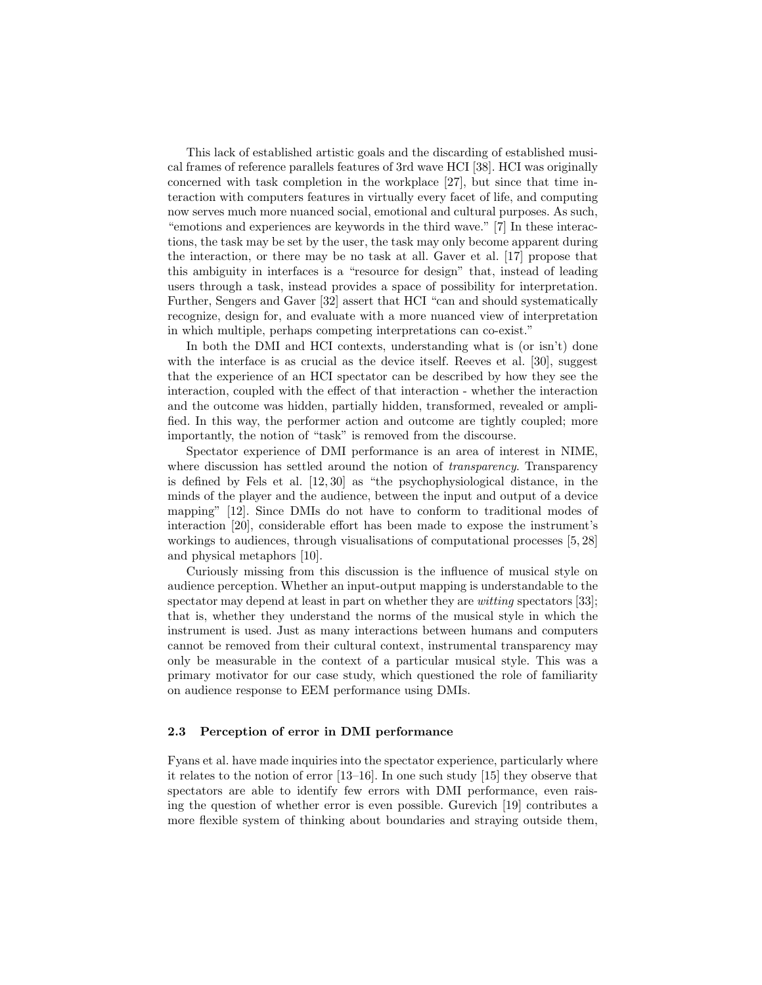This lack of established artistic goals and the discarding of established musical frames of reference parallels features of 3rd wave HCI [38]. HCI was originally concerned with task completion in the workplace [27], but since that time interaction with computers features in virtually every facet of life, and computing now serves much more nuanced social, emotional and cultural purposes. As such, "emotions and experiences are keywords in the third wave." [7] In these interactions, the task may be set by the user, the task may only become apparent during the interaction, or there may be no task at all. Gaver et al. [17] propose that this ambiguity in interfaces is a "resource for design" that, instead of leading users through a task, instead provides a space of possibility for interpretation. Further, Sengers and Gaver [32] assert that HCI "can and should systematically recognize, design for, and evaluate with a more nuanced view of interpretation in which multiple, perhaps competing interpretations can co-exist."

In both the DMI and HCI contexts, understanding what is (or isn't) done with the interface is as crucial as the device itself. Reeves et al. [30], suggest that the experience of an HCI spectator can be described by how they see the interaction, coupled with the effect of that interaction - whether the interaction and the outcome was hidden, partially hidden, transformed, revealed or amplified. In this way, the performer action and outcome are tightly coupled; more importantly, the notion of "task" is removed from the discourse.

Spectator experience of DMI performance is an area of interest in NIME, where discussion has settled around the notion of *transparency*. Transparency is defined by Fels et al. [12, 30] as "the psychophysiological distance, in the minds of the player and the audience, between the input and output of a device mapping" [12]. Since DMIs do not have to conform to traditional modes of interaction [20], considerable effort has been made to expose the instrument's workings to audiences, through visualisations of computational processes [5, 28] and physical metaphors [10].

Curiously missing from this discussion is the influence of musical style on audience perception. Whether an input-output mapping is understandable to the spectator may depend at least in part on whether they are *witting* spectators [33]; that is, whether they understand the norms of the musical style in which the instrument is used. Just as many interactions between humans and computers cannot be removed from their cultural context, instrumental transparency may only be measurable in the context of a particular musical style. This was a primary motivator for our case study, which questioned the role of familiarity on audience response to EEM performance using DMIs.

#### 2.3 Perception of error in DMI performance

Fyans et al. have made inquiries into the spectator experience, particularly where it relates to the notion of error [13–16]. In one such study [15] they observe that spectators are able to identify few errors with DMI performance, even raising the question of whether error is even possible. Gurevich [19] contributes a more flexible system of thinking about boundaries and straying outside them,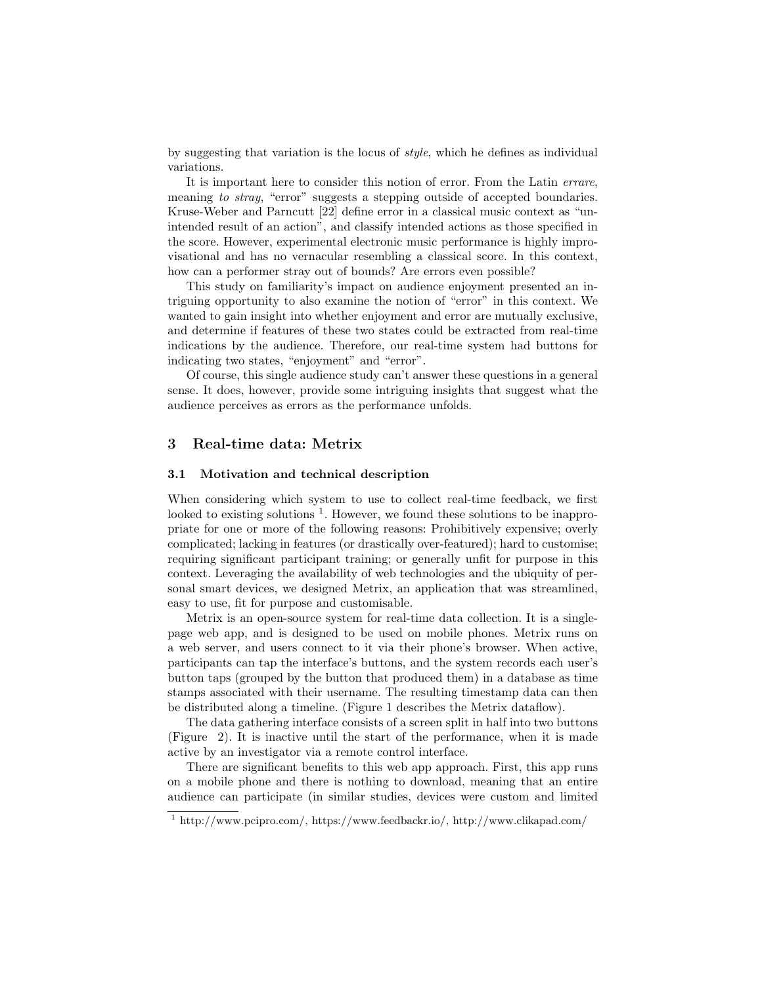by suggesting that variation is the locus of style, which he defines as individual variations.

It is important here to consider this notion of error. From the Latin errare, meaning to stray, "error" suggests a stepping outside of accepted boundaries. Kruse-Weber and Parncutt [22] define error in a classical music context as "unintended result of an action", and classify intended actions as those specified in the score. However, experimental electronic music performance is highly improvisational and has no vernacular resembling a classical score. In this context, how can a performer stray out of bounds? Are errors even possible?

This study on familiarity's impact on audience enjoyment presented an intriguing opportunity to also examine the notion of "error" in this context. We wanted to gain insight into whether enjoyment and error are mutually exclusive, and determine if features of these two states could be extracted from real-time indications by the audience. Therefore, our real-time system had buttons for indicating two states, "enjoyment" and "error".

Of course, this single audience study can't answer these questions in a general sense. It does, however, provide some intriguing insights that suggest what the audience perceives as errors as the performance unfolds.

# 3 Real-time data: Metrix

#### 3.1 Motivation and technical description

When considering which system to use to collect real-time feedback, we first looked to existing solutions  $<sup>1</sup>$ . However, we found these solutions to be inappro-</sup> priate for one or more of the following reasons: Prohibitively expensive; overly complicated; lacking in features (or drastically over-featured); hard to customise; requiring significant participant training; or generally unfit for purpose in this context. Leveraging the availability of web technologies and the ubiquity of personal smart devices, we designed Metrix, an application that was streamlined, easy to use, fit for purpose and customisable.

Metrix is an open-source system for real-time data collection. It is a singlepage web app, and is designed to be used on mobile phones. Metrix runs on a web server, and users connect to it via their phone's browser. When active, participants can tap the interface's buttons, and the system records each user's button taps (grouped by the button that produced them) in a database as time stamps associated with their username. The resulting timestamp data can then be distributed along a timeline. (Figure 1 describes the Metrix dataflow).

The data gathering interface consists of a screen split in half into two buttons (Figure 2). It is inactive until the start of the performance, when it is made active by an investigator via a remote control interface.

There are significant benefits to this web app approach. First, this app runs on a mobile phone and there is nothing to download, meaning that an entire audience can participate (in similar studies, devices were custom and limited

<sup>1</sup> http://www.pcipro.com/, https://www.feedbackr.io/, http://www.clikapad.com/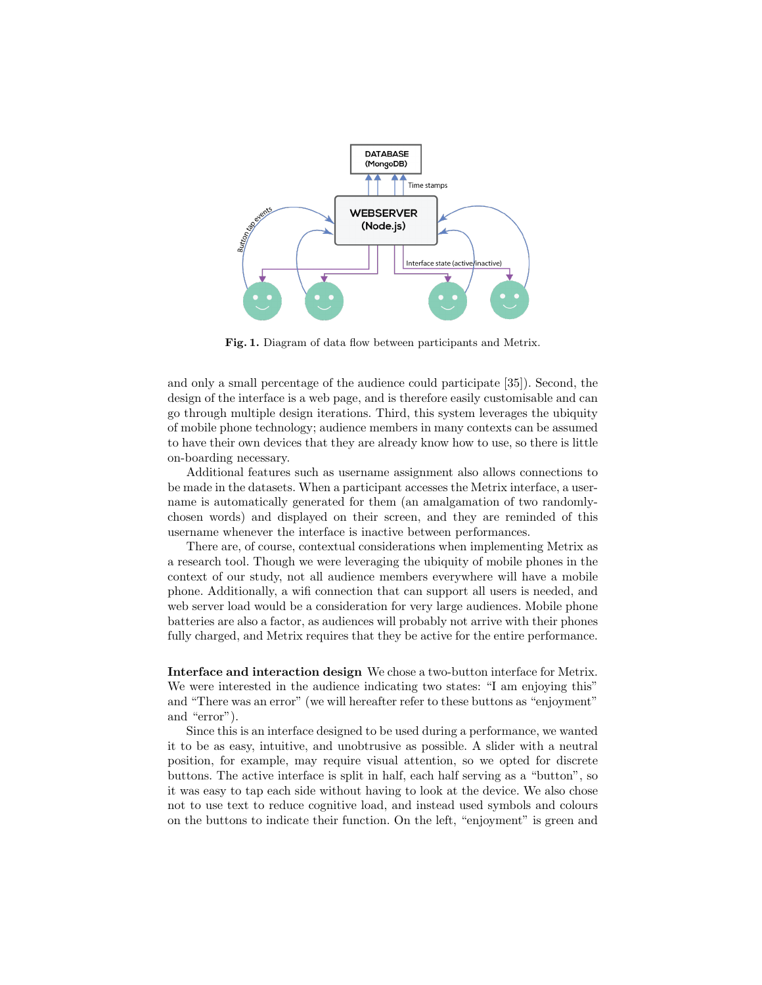

Fig. 1. Diagram of data flow between participants and Metrix.

and only a small percentage of the audience could participate [35]). Second, the design of the interface is a web page, and is therefore easily customisable and can go through multiple design iterations. Third, this system leverages the ubiquity of mobile phone technology; audience members in many contexts can be assumed to have their own devices that they are already know how to use, so there is little on-boarding necessary.

Additional features such as username assignment also allows connections to be made in the datasets. When a participant accesses the Metrix interface, a username is automatically generated for them (an amalgamation of two randomlychosen words) and displayed on their screen, and they are reminded of this username whenever the interface is inactive between performances.

There are, of course, contextual considerations when implementing Metrix as a research tool. Though we were leveraging the ubiquity of mobile phones in the context of our study, not all audience members everywhere will have a mobile phone. Additionally, a wifi connection that can support all users is needed, and web server load would be a consideration for very large audiences. Mobile phone batteries are also a factor, as audiences will probably not arrive with their phones fully charged, and Metrix requires that they be active for the entire performance.

Interface and interaction design We chose a two-button interface for Metrix. We were interested in the audience indicating two states: "I am enjoying this" and "There was an error" (we will hereafter refer to these buttons as "enjoyment" and "error").

Since this is an interface designed to be used during a performance, we wanted it to be as easy, intuitive, and unobtrusive as possible. A slider with a neutral position, for example, may require visual attention, so we opted for discrete buttons. The active interface is split in half, each half serving as a "button", so it was easy to tap each side without having to look at the device. We also chose not to use text to reduce cognitive load, and instead used symbols and colours on the buttons to indicate their function. On the left, "enjoyment" is green and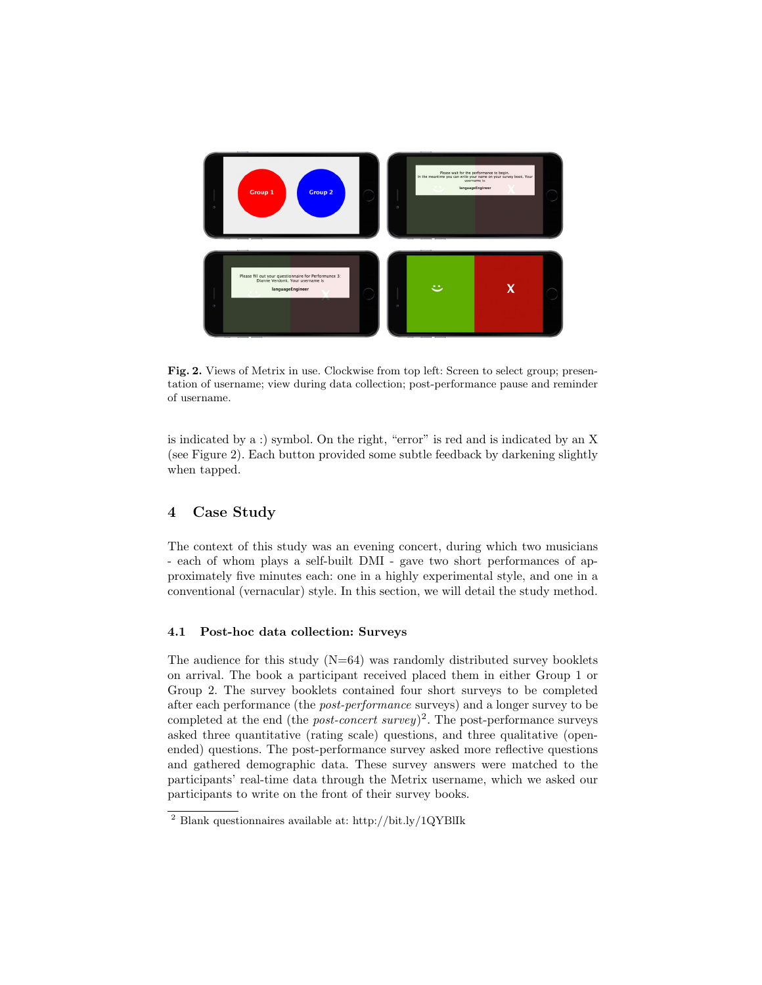

Fig. 2. Views of Metrix in use. Clockwise from top left: Screen to select group; presentation of username; view during data collection; post-performance pause and reminder of username.

is indicated by a :) symbol. On the right, "error" is red and is indicated by an X (see Figure 2). Each button provided some subtle feedback by darkening slightly when tapped.

# 4 Case Study

The context of this study was an evening concert, during which two musicians - each of whom plays a self-built DMI - gave two short performances of approximately five minutes each: one in a highly experimental style, and one in a conventional (vernacular) style. In this section, we will detail the study method.

# 4.1 Post-hoc data collection: Surveys

The audience for this study  $(N=64)$  was randomly distributed survey booklets on arrival. The book a participant received placed them in either Group 1 or Group 2. The survey booklets contained four short surveys to be completed after each performance (the post-performance surveys) and a longer survey to be completed at the end (the *post-concert survey*)<sup>2</sup>. The post-performance surveys asked three quantitative (rating scale) questions, and three qualitative (openended) questions. The post-performance survey asked more reflective questions and gathered demographic data. These survey answers were matched to the participants' real-time data through the Metrix username, which we asked our participants to write on the front of their survey books.

<sup>2</sup> Blank questionnaires available at: http://bit.ly/1QYBlIk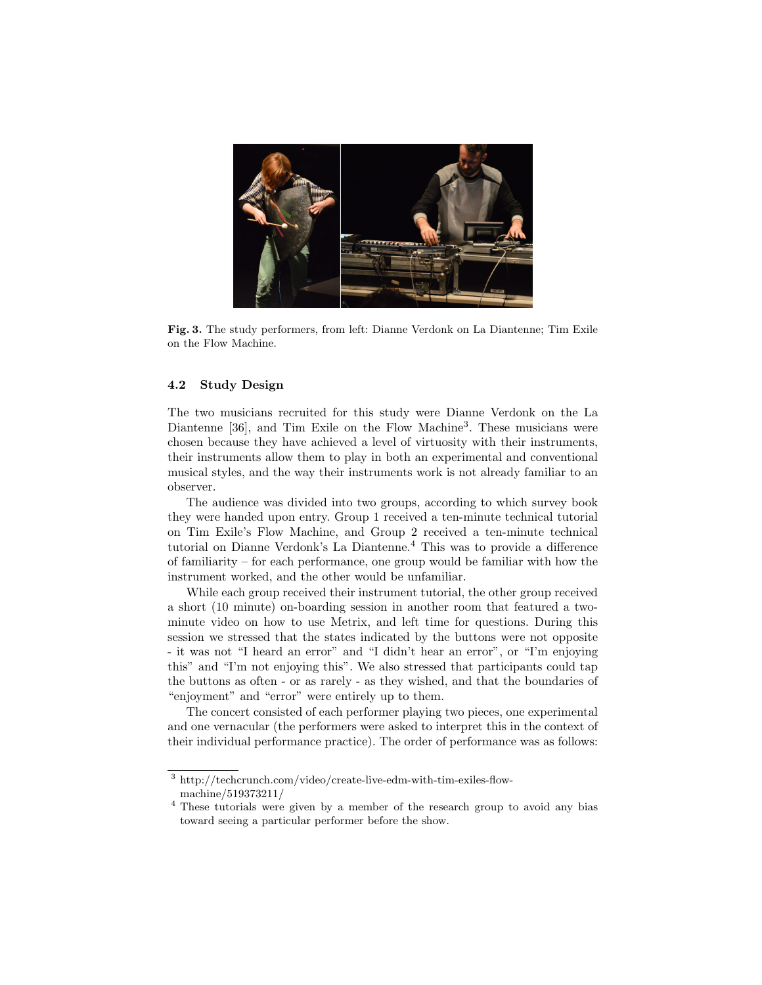

Fig. 3. The study performers, from left: Dianne Verdonk on La Diantenne; Tim Exile on the Flow Machine.

#### 4.2 Study Design

The two musicians recruited for this study were Dianne Verdonk on the La Diantenne [36], and Tim Exile on the Flow Machine<sup>3</sup>. These musicians were chosen because they have achieved a level of virtuosity with their instruments, their instruments allow them to play in both an experimental and conventional musical styles, and the way their instruments work is not already familiar to an observer.

The audience was divided into two groups, according to which survey book they were handed upon entry. Group 1 received a ten-minute technical tutorial on Tim Exile's Flow Machine, and Group 2 received a ten-minute technical tutorial on Dianne Verdonk's La Diantenne.<sup>4</sup> This was to provide a difference of familiarity – for each performance, one group would be familiar with how the instrument worked, and the other would be unfamiliar.

While each group received their instrument tutorial, the other group received a short (10 minute) on-boarding session in another room that featured a twominute video on how to use Metrix, and left time for questions. During this session we stressed that the states indicated by the buttons were not opposite - it was not "I heard an error" and "I didn't hear an error", or "I'm enjoying this" and "I'm not enjoying this". We also stressed that participants could tap the buttons as often - or as rarely - as they wished, and that the boundaries of "enjoyment" and "error" were entirely up to them.

The concert consisted of each performer playing two pieces, one experimental and one vernacular (the performers were asked to interpret this in the context of their individual performance practice). The order of performance was as follows:

<sup>3</sup> http://techcrunch.com/video/create-live-edm-with-tim-exiles-flowmachine/519373211/

<sup>4</sup> These tutorials were given by a member of the research group to avoid any bias toward seeing a particular performer before the show.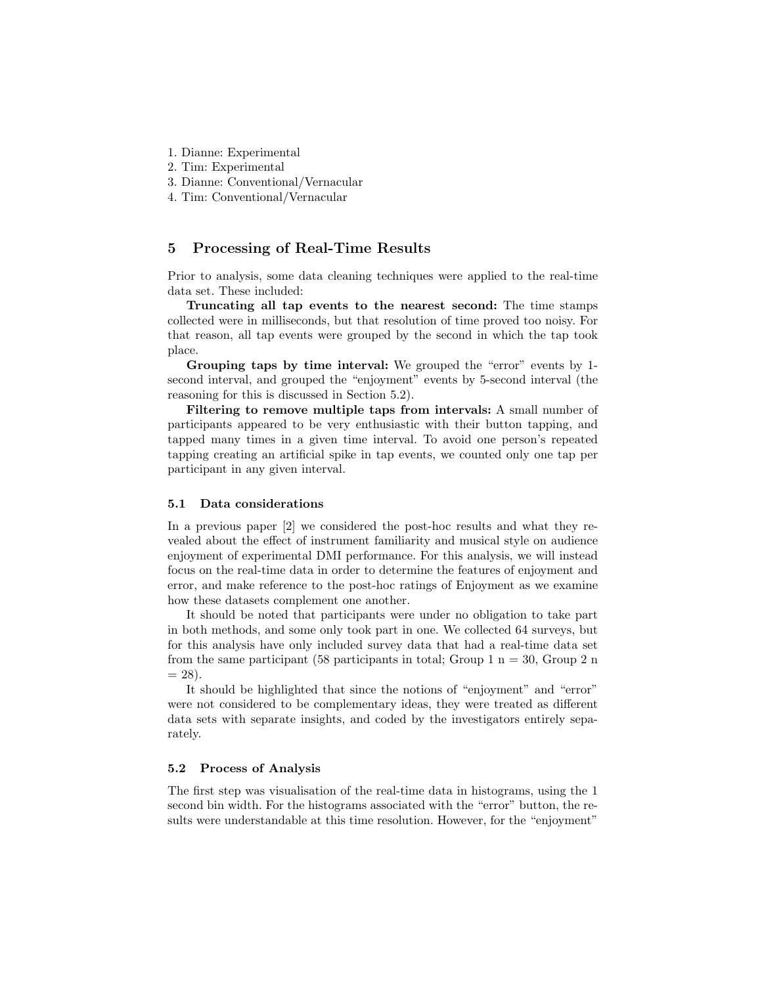- 1. Dianne: Experimental
- 2. Tim: Experimental
- 3. Dianne: Conventional/Vernacular
- 4. Tim: Conventional/Vernacular

### 5 Processing of Real-Time Results

Prior to analysis, some data cleaning techniques were applied to the real-time data set. These included:

Truncating all tap events to the nearest second: The time stamps collected were in milliseconds, but that resolution of time proved too noisy. For that reason, all tap events were grouped by the second in which the tap took place.

Grouping taps by time interval: We grouped the "error" events by 1 second interval, and grouped the "enjoyment" events by 5-second interval (the reasoning for this is discussed in Section 5.2).

Filtering to remove multiple taps from intervals: A small number of participants appeared to be very enthusiastic with their button tapping, and tapped many times in a given time interval. To avoid one person's repeated tapping creating an artificial spike in tap events, we counted only one tap per participant in any given interval.

#### 5.1 Data considerations

In a previous paper [2] we considered the post-hoc results and what they revealed about the effect of instrument familiarity and musical style on audience enjoyment of experimental DMI performance. For this analysis, we will instead focus on the real-time data in order to determine the features of enjoyment and error, and make reference to the post-hoc ratings of Enjoyment as we examine how these datasets complement one another.

It should be noted that participants were under no obligation to take part in both methods, and some only took part in one. We collected 64 surveys, but for this analysis have only included survey data that had a real-time data set from the same participant (58 participants in total; Group 1  $n = 30$ , Group 2 n  $= 28$ ).

It should be highlighted that since the notions of "enjoyment" and "error" were not considered to be complementary ideas, they were treated as different data sets with separate insights, and coded by the investigators entirely separately.

#### 5.2 Process of Analysis

The first step was visualisation of the real-time data in histograms, using the 1 second bin width. For the histograms associated with the "error" button, the results were understandable at this time resolution. However, for the "enjoyment"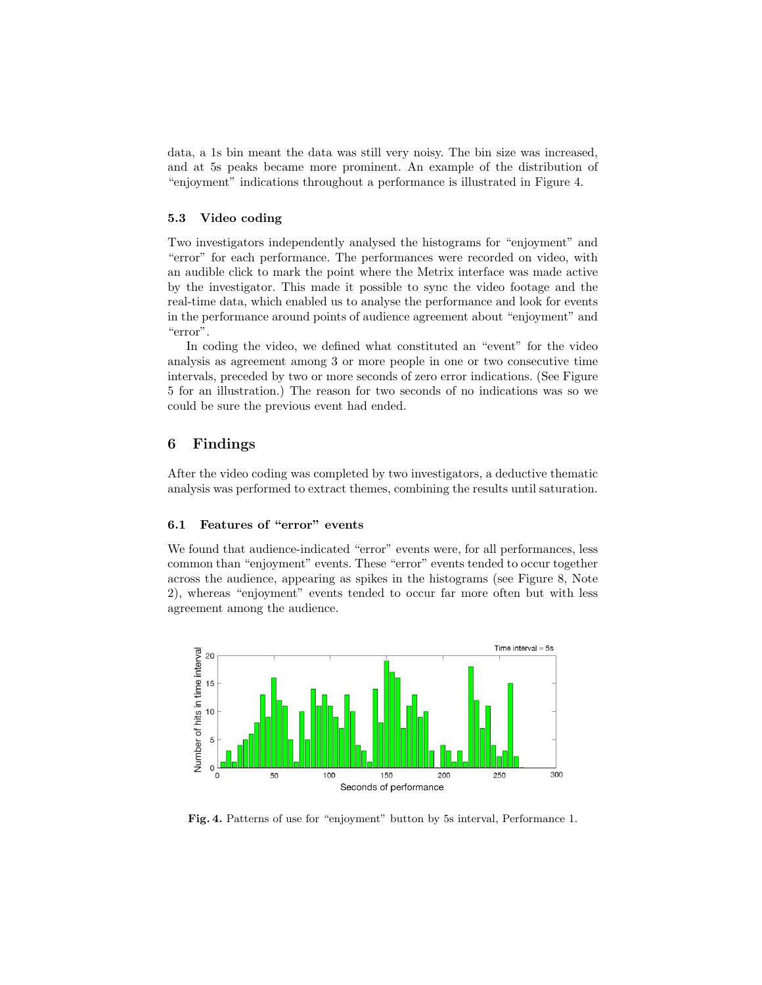data, a 1s bin meant the data was still very noisy. The bin size was increased, and at 5s peaks became more prominent. An example of the distribution of "enjoyment" indications throughout a performance is illustrated in Figure 4.

#### 5.3 Video coding

Two investigators independently analysed the histograms for "enjoyment" and "error" for each performance. The performances were recorded on video, with an audible click to mark the point where the Metrix interface was made active by the investigator. This made it possible to sync the video footage and the real-time data, which enabled us to analyse the performance and look for events in the performance around points of audience agreement about "enjoyment" and "error".

In coding the video, we defined what constituted an "event" for the video analysis as agreement among 3 or more people in one or two consecutive time intervals, preceded by two or more seconds of zero error indications. (See Figure 5 for an illustration.) The reason for two seconds of no indications was so we could be sure the previous event had ended.

# 6 Findings

After the video coding was completed by two investigators, a deductive thematic analysis was performed to extract themes, combining the results until saturation.

#### 6.1 Features of "error" events

We found that audience-indicated "error" events were, for all performances, less common than "enjoyment" events. These "error" events tended to occur together across the audience, appearing as spikes in the histograms (see Figure 8, Note 2), whereas "enjoyment" events tended to occur far more often but with less agreement among the audience.



Fig. 4. Patterns of use for "enjoyment" button by 5s interval, Performance 1.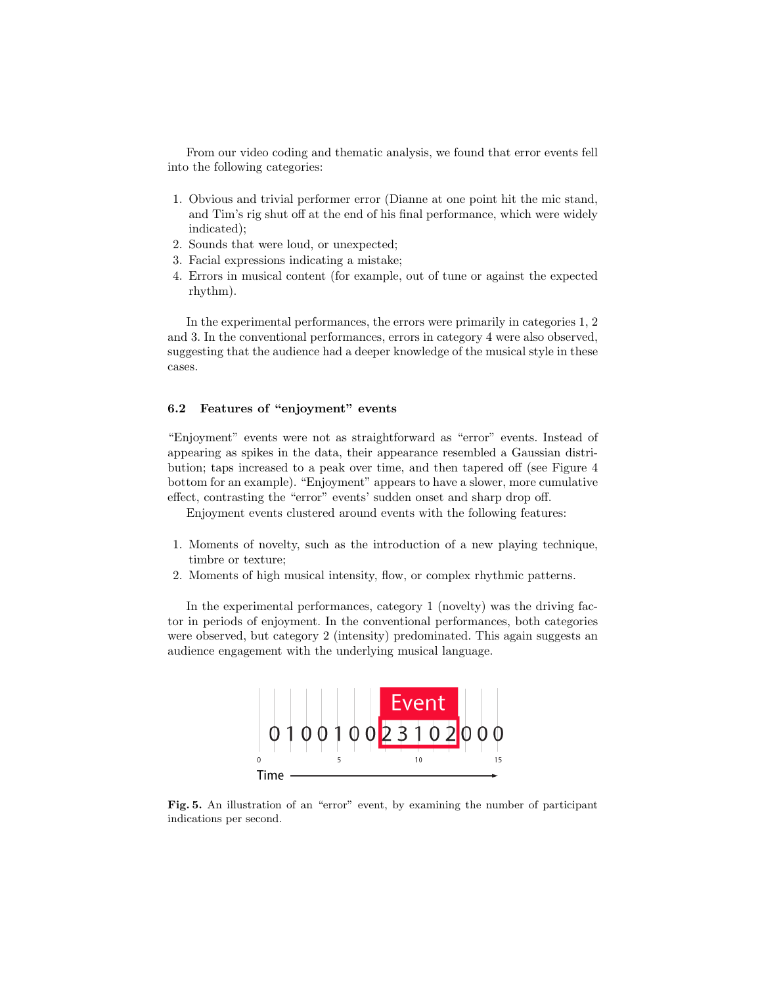From our video coding and thematic analysis, we found that error events fell into the following categories:

- 1. Obvious and trivial performer error (Dianne at one point hit the mic stand, and Tim's rig shut off at the end of his final performance, which were widely indicated);
- 2. Sounds that were loud, or unexpected;
- 3. Facial expressions indicating a mistake;
- 4. Errors in musical content (for example, out of tune or against the expected rhythm).

In the experimental performances, the errors were primarily in categories 1, 2 and 3. In the conventional performances, errors in category 4 were also observed, suggesting that the audience had a deeper knowledge of the musical style in these cases.

# 6.2 Features of "enjoyment" events

"Enjoyment" events were not as straightforward as "error" events. Instead of appearing as spikes in the data, their appearance resembled a Gaussian distribution; taps increased to a peak over time, and then tapered off (see Figure 4 bottom for an example). "Enjoyment" appears to have a slower, more cumulative effect, contrasting the "error" events' sudden onset and sharp drop off.

Enjoyment events clustered around events with the following features:

- 1. Moments of novelty, such as the introduction of a new playing technique, timbre or texture;
- 2. Moments of high musical intensity, flow, or complex rhythmic patterns.

In the experimental performances, category 1 (novelty) was the driving factor in periods of enjoyment. In the conventional performances, both categories were observed, but category 2 (intensity) predominated. This again suggests an audience engagement with the underlying musical language.



Fig. 5. An illustration of an "error" event, by examining the number of participant indications per second.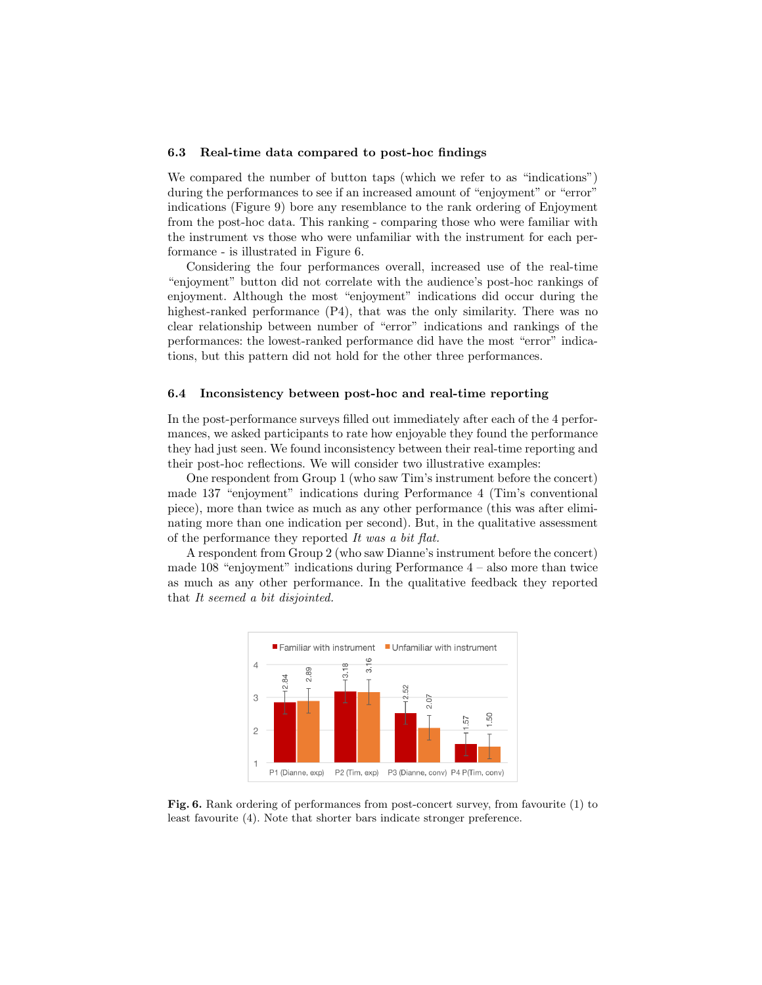#### 6.3 Real-time data compared to post-hoc findings

We compared the number of button taps (which we refer to as "indications") during the performances to see if an increased amount of "enjoyment" or "error" indications (Figure 9) bore any resemblance to the rank ordering of Enjoyment from the post-hoc data. This ranking - comparing those who were familiar with the instrument vs those who were unfamiliar with the instrument for each performance - is illustrated in Figure 6.

Considering the four performances overall, increased use of the real-time "enjoyment" button did not correlate with the audience's post-hoc rankings of enjoyment. Although the most "enjoyment" indications did occur during the highest-ranked performance  $(P4)$ , that was the only similarity. There was no clear relationship between number of "error" indications and rankings of the performances: the lowest-ranked performance did have the most "error" indications, but this pattern did not hold for the other three performances.

#### 6.4 Inconsistency between post-hoc and real-time reporting

In the post-performance surveys filled out immediately after each of the 4 performances, we asked participants to rate how enjoyable they found the performance they had just seen. We found inconsistency between their real-time reporting and their post-hoc reflections. We will consider two illustrative examples:

One respondent from Group 1 (who saw Tim's instrument before the concert) made 137 "enjoyment" indications during Performance 4 (Tim's conventional piece), more than twice as much as any other performance (this was after eliminating more than one indication per second). But, in the qualitative assessment of the performance they reported It was a bit flat.

A respondent from Group 2 (who saw Dianne's instrument before the concert) made  $108$  "enjoyment" indications during Performance  $4$  – also more than twice as much as any other performance. In the qualitative feedback they reported that It seemed a bit disjointed.



Fig. 6. Rank ordering of performances from post-concert survey, from favourite (1) to least favourite (4). Note that shorter bars indicate stronger preference.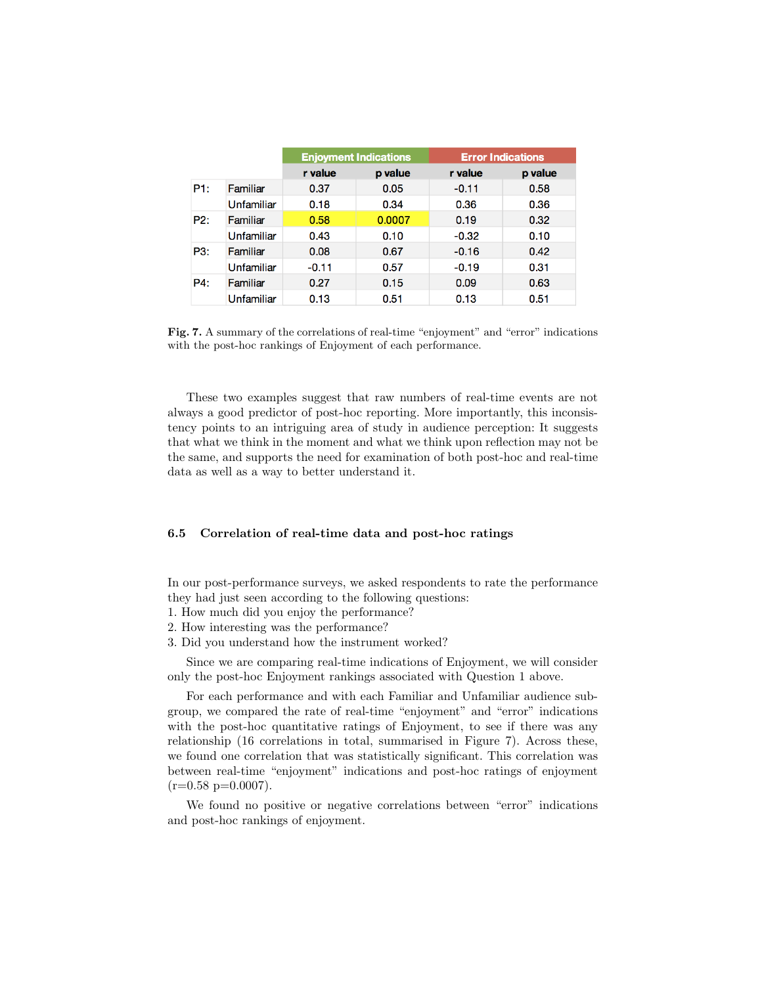|            |            | <b>Enjoyment Indications</b> |         | <b>Error Indications</b> |         |
|------------|------------|------------------------------|---------|--------------------------|---------|
|            |            | r value                      | p value | r value                  | p value |
| P1:        | Familiar   | 0.37                         | 0.05    | $-0.11$                  | 0.58    |
|            | Unfamiliar | 0.18                         | 0.34    | 0.36                     | 0.36    |
| P2:        | Familiar   | 0.58                         | 0.0007  | 0.19                     | 0.32    |
|            | Unfamiliar | 0.43                         | 0.10    | $-0.32$                  | 0.10    |
| <b>P3:</b> | Familiar   | 0.08                         | 0.67    | $-0.16$                  | 0.42    |
|            | Unfamiliar | $-0.11$                      | 0.57    | $-0.19$                  | 0.31    |
| P4:        | Familiar   | 0.27                         | 0.15    | 0.09                     | 0.63    |
|            | Unfamiliar | 0.13                         | 0.51    | 0.13                     | 0.51    |

Fig. 7. A summary of the correlations of real-time "enjoyment" and "error" indications with the post-hoc rankings of Enjoyment of each performance.

These two examples suggest that raw numbers of real-time events are not always a good predictor of post-hoc reporting. More importantly, this inconsistency points to an intriguing area of study in audience perception: It suggests that what we think in the moment and what we think upon reflection may not be the same, and supports the need for examination of both post-hoc and real-time data as well as a way to better understand it.

#### 6.5 Correlation of real-time data and post-hoc ratings

In our post-performance surveys, we asked respondents to rate the performance they had just seen according to the following questions:

- 1. How much did you enjoy the performance?
- 2. How interesting was the performance?
- 3. Did you understand how the instrument worked?

Since we are comparing real-time indications of Enjoyment, we will consider only the post-hoc Enjoyment rankings associated with Question 1 above.

For each performance and with each Familiar and Unfamiliar audience subgroup, we compared the rate of real-time "enjoyment" and "error" indications with the post-hoc quantitative ratings of Enjoyment, to see if there was any relationship (16 correlations in total, summarised in Figure 7). Across these, we found one correlation that was statistically significant. This correlation was between real-time "enjoyment" indications and post-hoc ratings of enjoyment  $(r=0.58 \text{ p}=0.0007).$ 

We found no positive or negative correlations between "error" indications and post-hoc rankings of enjoyment.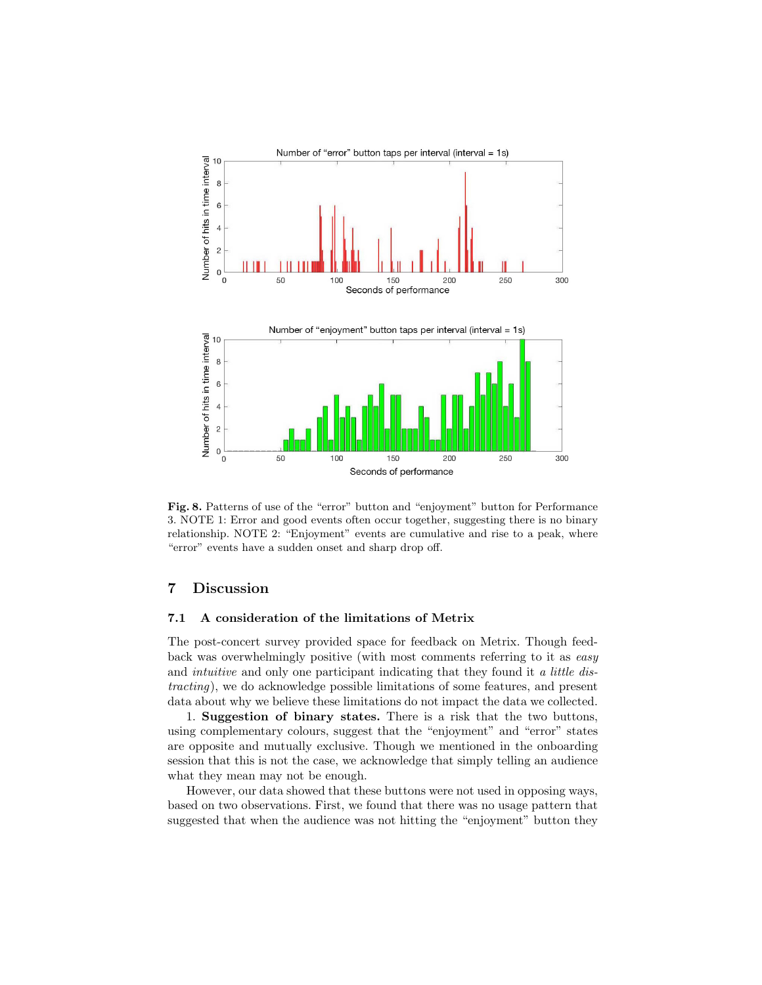

Fig. 8. Patterns of use of the "error" button and "enjoyment" button for Performance 3. NOTE 1: Error and good events often occur together, suggesting there is no binary relationship. NOTE 2: "Enjoyment" events are cumulative and rise to a peak, where "error" events have a sudden onset and sharp drop off.

# 7 Discussion

#### 7.1 A consideration of the limitations of Metrix

The post-concert survey provided space for feedback on Metrix. Though feedback was overwhelmingly positive (with most comments referring to it as easy and *intuitive* and only one participant indicating that they found it a *little dis*tracting), we do acknowledge possible limitations of some features, and present data about why we believe these limitations do not impact the data we collected.

1. Suggestion of binary states. There is a risk that the two buttons, using complementary colours, suggest that the "enjoyment" and "error" states are opposite and mutually exclusive. Though we mentioned in the onboarding session that this is not the case, we acknowledge that simply telling an audience what they mean may not be enough.

However, our data showed that these buttons were not used in opposing ways, based on two observations. First, we found that there was no usage pattern that suggested that when the audience was not hitting the "enjoyment" button they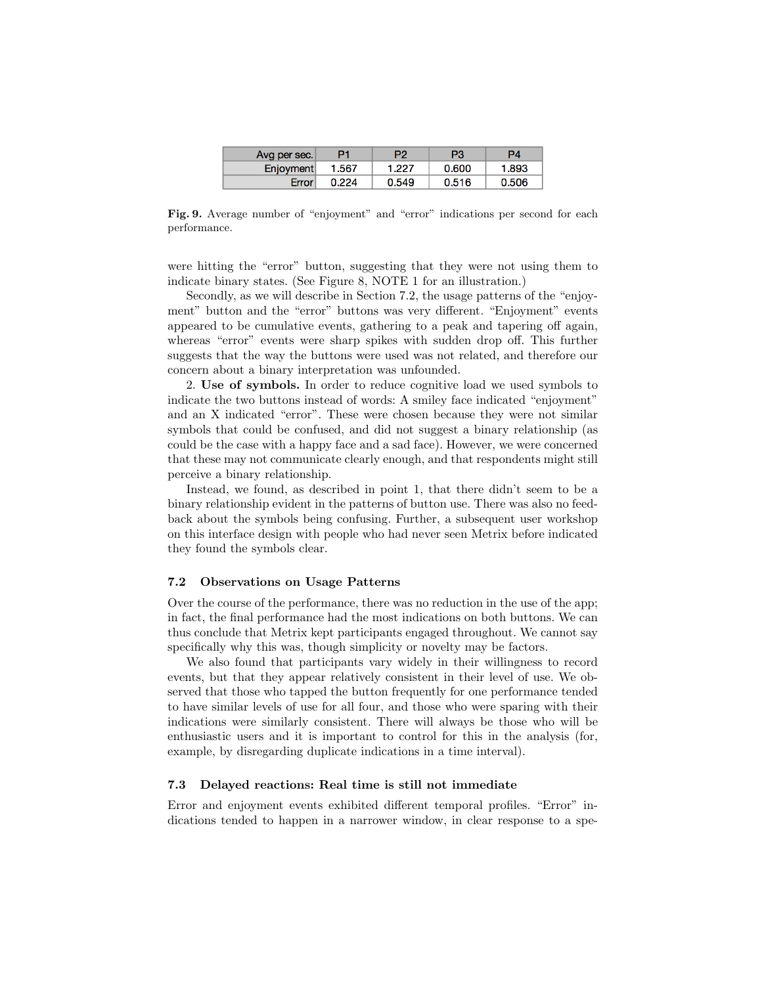| Avg per sec. | P1    | P <sub>2</sub> | P <sub>3</sub> | P4    |
|--------------|-------|----------------|----------------|-------|
| Enjoyment    | 1.567 | 1.227          | 0.600          | 1.893 |
| Error        | 0.224 | 0.549          | 0.516          | 0.506 |

Fig. 9. Average number of "enjoyment" and "error" indications per second for each performance.

were hitting the "error" button, suggesting that they were not using them to indicate binary states. (See Figure 8, NOTE 1 for an illustration.)

Secondly, as we will describe in Section 7.2, the usage patterns of the "enjoyment" button and the "error" buttons was very different. "Enjoyment" events appeared to be cumulative events, gathering to a peak and tapering off again, whereas "error" events were sharp spikes with sudden drop off. This further suggests that the way the buttons were used was not related, and therefore our concern about a binary interpretation was unfounded.

2. Use of symbols. In order to reduce cognitive load we used symbols to indicate the two buttons instead of words: A smiley face indicated "enjoyment" and an X indicated "error". These were chosen because they were not similar symbols that could be confused, and did not suggest a binary relationship (as could be the case with a happy face and a sad face). However, we were concerned that these may not communicate clearly enough, and that respondents might still perceive a binary relationship.

Instead, we found, as described in point 1, that there didn't seem to be a binary relationship evident in the patterns of button use. There was also no feedback about the symbols being confusing. Further, a subsequent user workshop on this interface design with people who had never seen Metrix before indicated they found the symbols clear.

#### 7.2 Observations on Usage Patterns

Over the course of the performance, there was no reduction in the use of the app; in fact, the final performance had the most indications on both buttons. We can thus conclude that Metrix kept participants engaged throughout. We cannot say specifically why this was, though simplicity or novelty may be factors.

We also found that participants vary widely in their willingness to record events, but that they appear relatively consistent in their level of use. We observed that those who tapped the button frequently for one performance tended to have similar levels of use for all four, and those who were sparing with their indications were similarly consistent. There will always be those who will be enthusiastic users and it is important to control for this in the analysis (for, example, by disregarding duplicate indications in a time interval).

#### 7.3 Delayed reactions: Real time is still not immediate

Error and enjoyment events exhibited different temporal profiles. "Error" indications tended to happen in a narrower window, in clear response to a spe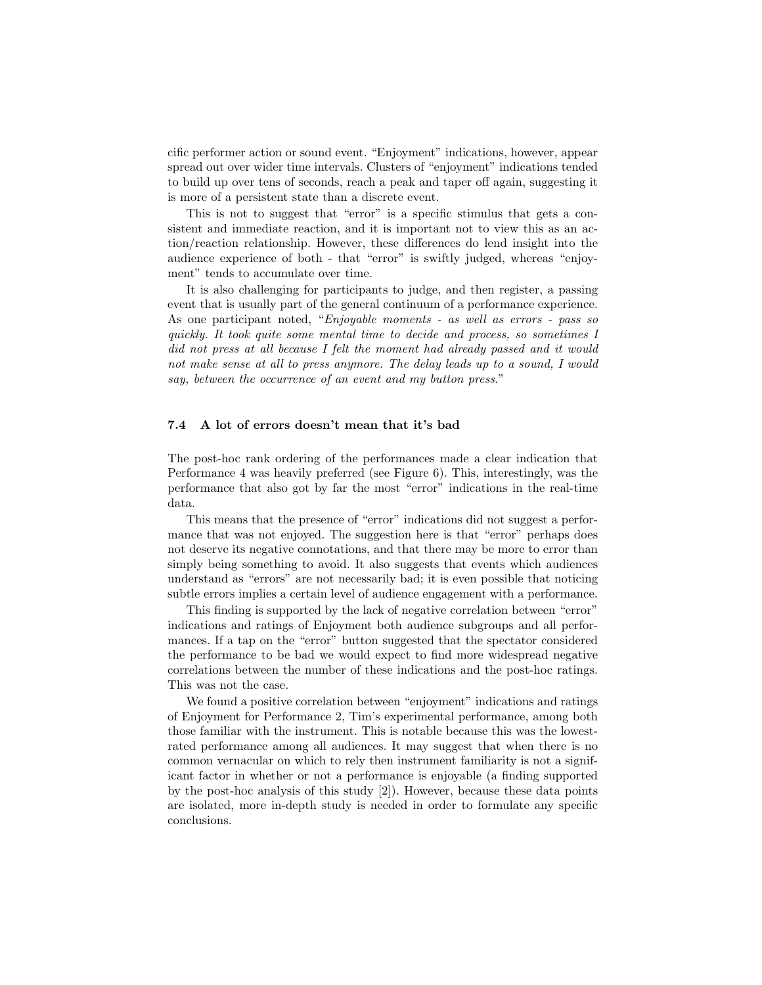cific performer action or sound event. "Enjoyment" indications, however, appear spread out over wider time intervals. Clusters of "enjoyment" indications tended to build up over tens of seconds, reach a peak and taper off again, suggesting it is more of a persistent state than a discrete event.

This is not to suggest that "error" is a specific stimulus that gets a consistent and immediate reaction, and it is important not to view this as an action/reaction relationship. However, these differences do lend insight into the audience experience of both - that "error" is swiftly judged, whereas "enjoyment" tends to accumulate over time.

It is also challenging for participants to judge, and then register, a passing event that is usually part of the general continuum of a performance experience. As one participant noted, "*Enjoyable moments - as well as errors - pass so* quickly. It took quite some mental time to decide and process, so sometimes I did not press at all because I felt the moment had already passed and it would not make sense at all to press anymore. The delay leads up to a sound, I would say, between the occurrence of an event and my button press."

#### 7.4 A lot of errors doesn't mean that it's bad

The post-hoc rank ordering of the performances made a clear indication that Performance 4 was heavily preferred (see Figure 6). This, interestingly, was the performance that also got by far the most "error" indications in the real-time data.

This means that the presence of "error" indications did not suggest a performance that was not enjoyed. The suggestion here is that "error" perhaps does not deserve its negative connotations, and that there may be more to error than simply being something to avoid. It also suggests that events which audiences understand as "errors" are not necessarily bad; it is even possible that noticing subtle errors implies a certain level of audience engagement with a performance.

This finding is supported by the lack of negative correlation between "error" indications and ratings of Enjoyment both audience subgroups and all performances. If a tap on the "error" button suggested that the spectator considered the performance to be bad we would expect to find more widespread negative correlations between the number of these indications and the post-hoc ratings. This was not the case.

We found a positive correlation between "enjoyment" indications and ratings of Enjoyment for Performance 2, Tim's experimental performance, among both those familiar with the instrument. This is notable because this was the lowestrated performance among all audiences. It may suggest that when there is no common vernacular on which to rely then instrument familiarity is not a significant factor in whether or not a performance is enjoyable (a finding supported by the post-hoc analysis of this study [2]). However, because these data points are isolated, more in-depth study is needed in order to formulate any specific conclusions.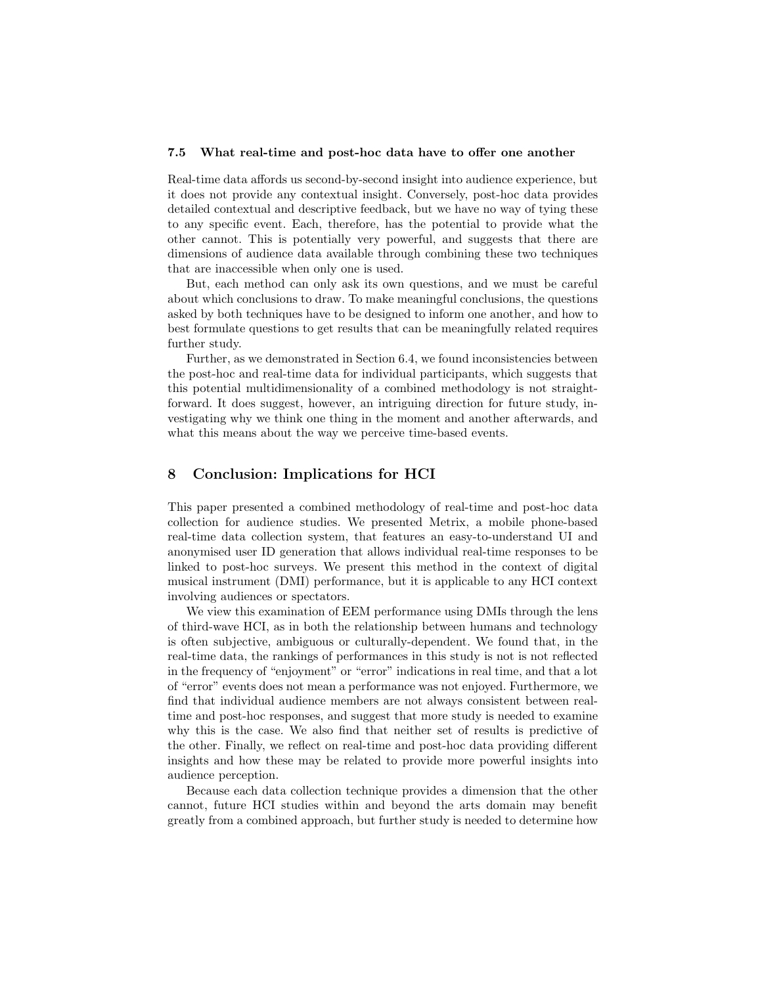#### 7.5 What real-time and post-hoc data have to offer one another

Real-time data affords us second-by-second insight into audience experience, but it does not provide any contextual insight. Conversely, post-hoc data provides detailed contextual and descriptive feedback, but we have no way of tying these to any specific event. Each, therefore, has the potential to provide what the other cannot. This is potentially very powerful, and suggests that there are dimensions of audience data available through combining these two techniques that are inaccessible when only one is used.

But, each method can only ask its own questions, and we must be careful about which conclusions to draw. To make meaningful conclusions, the questions asked by both techniques have to be designed to inform one another, and how to best formulate questions to get results that can be meaningfully related requires further study.

Further, as we demonstrated in Section 6.4, we found inconsistencies between the post-hoc and real-time data for individual participants, which suggests that this potential multidimensionality of a combined methodology is not straightforward. It does suggest, however, an intriguing direction for future study, investigating why we think one thing in the moment and another afterwards, and what this means about the way we perceive time-based events.

# 8 Conclusion: Implications for HCI

This paper presented a combined methodology of real-time and post-hoc data collection for audience studies. We presented Metrix, a mobile phone-based real-time data collection system, that features an easy-to-understand UI and anonymised user ID generation that allows individual real-time responses to be linked to post-hoc surveys. We present this method in the context of digital musical instrument (DMI) performance, but it is applicable to any HCI context involving audiences or spectators.

We view this examination of EEM performance using DMIs through the lens of third-wave HCI, as in both the relationship between humans and technology is often subjective, ambiguous or culturally-dependent. We found that, in the real-time data, the rankings of performances in this study is not is not reflected in the frequency of "enjoyment" or "error" indications in real time, and that a lot of "error" events does not mean a performance was not enjoyed. Furthermore, we find that individual audience members are not always consistent between realtime and post-hoc responses, and suggest that more study is needed to examine why this is the case. We also find that neither set of results is predictive of the other. Finally, we reflect on real-time and post-hoc data providing different insights and how these may be related to provide more powerful insights into audience perception.

Because each data collection technique provides a dimension that the other cannot, future HCI studies within and beyond the arts domain may benefit greatly from a combined approach, but further study is needed to determine how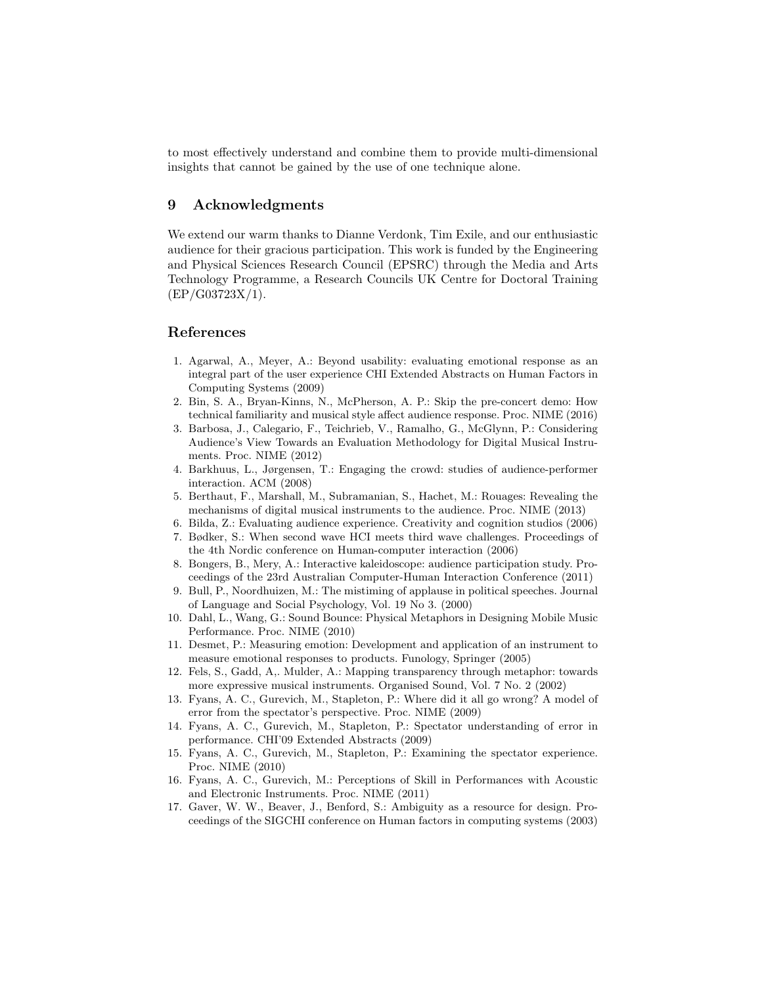to most effectively understand and combine them to provide multi-dimensional insights that cannot be gained by the use of one technique alone.

# 9 Acknowledgments

We extend our warm thanks to Dianne Verdonk, Tim Exile, and our enthusiastic audience for their gracious participation. This work is funded by the Engineering and Physical Sciences Research Council (EPSRC) through the Media and Arts Technology Programme, a Research Councils UK Centre for Doctoral Training (EP/G03723X/1).

### References

- 1. Agarwal, A., Meyer, A.: Beyond usability: evaluating emotional response as an integral part of the user experience CHI Extended Abstracts on Human Factors in Computing Systems (2009)
- 2. Bin, S. A., Bryan-Kinns, N., McPherson, A. P.: Skip the pre-concert demo: How technical familiarity and musical style affect audience response. Proc. NIME (2016)
- 3. Barbosa, J., Calegario, F., Teichrieb, V., Ramalho, G., McGlynn, P.: Considering Audience's View Towards an Evaluation Methodology for Digital Musical Instruments. Proc. NIME (2012)
- 4. Barkhuus, L., Jørgensen, T.: Engaging the crowd: studies of audience-performer interaction. ACM (2008)
- 5. Berthaut, F., Marshall, M., Subramanian, S., Hachet, M.: Rouages: Revealing the mechanisms of digital musical instruments to the audience. Proc. NIME (2013)
- 6. Bilda, Z.: Evaluating audience experience. Creativity and cognition studios (2006)
- 7. Bødker, S.: When second wave HCI meets third wave challenges. Proceedings of the 4th Nordic conference on Human-computer interaction (2006)
- 8. Bongers, B., Mery, A.: Interactive kaleidoscope: audience participation study. Proceedings of the 23rd Australian Computer-Human Interaction Conference (2011)
- 9. Bull, P., Noordhuizen, M.: The mistiming of applause in political speeches. Journal of Language and Social Psychology, Vol. 19 No 3. (2000)
- 10. Dahl, L., Wang, G.: Sound Bounce: Physical Metaphors in Designing Mobile Music Performance. Proc. NIME (2010)
- 11. Desmet, P.: Measuring emotion: Development and application of an instrument to measure emotional responses to products. Funology, Springer (2005)
- 12. Fels, S., Gadd, A,. Mulder, A.: Mapping transparency through metaphor: towards more expressive musical instruments. Organised Sound, Vol. 7 No. 2 (2002)
- 13. Fyans, A. C., Gurevich, M., Stapleton, P.: Where did it all go wrong? A model of error from the spectator's perspective. Proc. NIME (2009)
- 14. Fyans, A. C., Gurevich, M., Stapleton, P.: Spectator understanding of error in performance. CHI'09 Extended Abstracts (2009)
- 15. Fyans, A. C., Gurevich, M., Stapleton, P.: Examining the spectator experience. Proc. NIME (2010)
- 16. Fyans, A. C., Gurevich, M.: Perceptions of Skill in Performances with Acoustic and Electronic Instruments. Proc. NIME (2011)
- 17. Gaver, W. W., Beaver, J., Benford, S.: Ambiguity as a resource for design. Proceedings of the SIGCHI conference on Human factors in computing systems (2003)